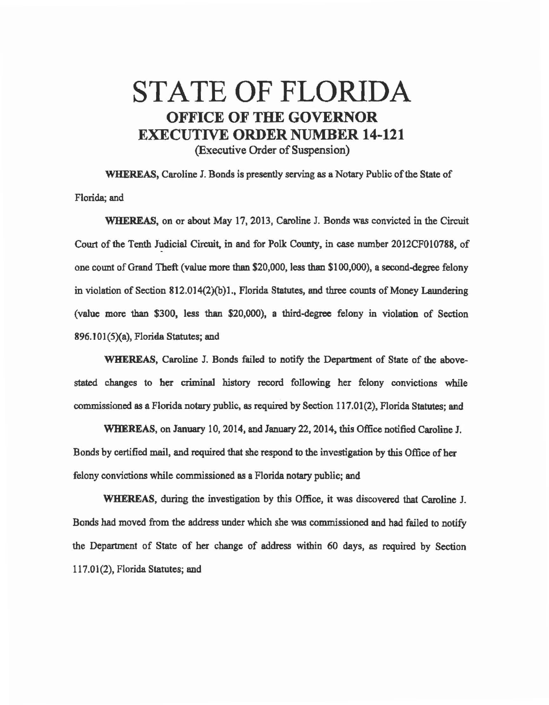## STATE OF FLORIDA OFFICE OF THE GOVERNOR EXECUTIVE ORDER NUMBER 14-121 (Executive Order of Suspension)

WHEREAS, Caroline I. Bonds is presently serving as a Notary Public of the State of Florida; and

WHEREAS, on or about May 17, 2013, Caroline J. Bonds was convicted in the Circuit Court of the Tenth Judicial Circuit. in and for Polle County, in case number 2012CF010788, of one count of Grand Theft (value more than \$20,000, less than \$100,000), a second-degree felony in violation of Section 812.014(2)(b)l., Florida Statutes, and three counts of Money Laundering (value more 1han \$300, less than \$20,000), a third-degree felony in violation of Section 896.101(5Xa), Florida Statutes; and

WHEREAS, Caroline J. Bonds failed to notify the Department of State of the abovestated changes to her criminal history record following her felony convictions while commissioned as a Florida notary public, as required by Section 117.01(2), Florida Statutes; and

WHEREAS, on January 10, 2014, and January 22, 2014, this Office notified Caroline J. Bonds by certified mail, and required that she respond to the investigation by this Office of her felony convictions while commissioned as a Florida notary public; and

WHEREAS, during the investigation by this Office, it was discovered that Caroline J. Bonds had moved from the address under which she was commissioned and had failed to notify the Department of State of her change of address within 60 days, as required by Section 117.01(2), Florida Statutes; and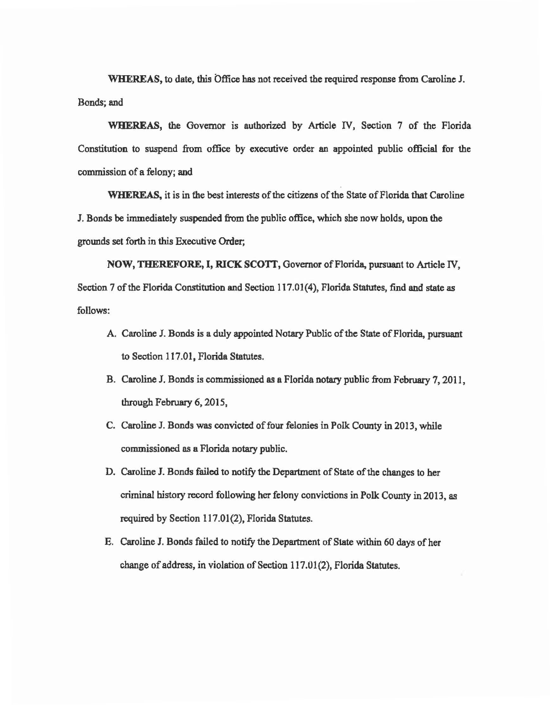WHEREAS, to date, this Office has not received the required response from Caroline J. Bonds; and

WHEREAS, the Governor is authorized by Article IV, Section 7 of the Florida Constitution to suspend from office by executive order an appointed public official for the commission of a felony; and

WHEREAS, it is in the best interests of the citizens of the State of Florida that Caroline J. Bonds be immediately suspended from the public office, which she now holds, upon the grounds set forth in this Executive Order;

NOW, THEREFORE, I, RICK SCOTT, Governor of Florida, pursuant to Article IV, Section 7 of the Florida Constitution and Section 117.01(4), Florida Statutes, find and state as follows:

- A. Caroline J. Bonds is a duly appointed Notary Public of the State of Florida, pursuant to Section 117.01, Florida Statutes.
- B. Caroline J. Bonds is commissioned as a Florida notary public from February 7, 2011, through February 6, 2015,
- C. Caroline J. Bonds was convicted of four felonies in Polk County in 2013, while commissioned as a Florida notary public.
- D. Caroline J. Bonds failed to notify the Department of State of the changes to her criminal history record following her felony convictions in Polle County in 2013, as required by Section 117.01(2), Florida Statutes.
- E. Caroline J. Bonds failed to notify the Department of State within 60 days of her change of address, in violation of Section 117.01 (2), Florida Statutes.